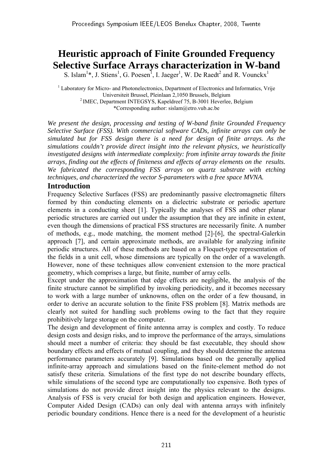# **Heuristic approach of Finite Grounded Frequency Selective Surface Arrays characterization in W-band**

S. Islam<sup>1</sup>\*, J. Stiens<sup>1</sup>, G. Poesen<sup>1</sup>, I. Jaeger<sup>1</sup>, W. De Raedt<sup>2</sup> and R. Vounckx<sup>1</sup>

<sup>1</sup> Laboratory for Micro- and Photonelectronics, Department of Electronics and Informatics, Vrije Universiteit Brussel, Pleinlaan 2,1050 Brussels, Belgium 2 IMEC, Department INTEGSYS, Kapeldreef 75, B-3001 Heverlee, Belgium \*Corresponding author: sislam@etro.vub.ac.be

*We present the design, processing and testing of W-band finite Grounded Frequency Selective Surface (FSS). With commercial software CADs, infinite arrays can only be simulated but for FSS design there is a need for design of finite arrays. As the simulations couldn't provide direct insight into the relevant physics, we heuristically investigated designs with intermediate complexity: from infinite array towards the finite arrays, finding out the effects of finiteness and effects of array elements on the results. We fabricated the corresponding FSS arrays on quartz substrate with etching techniques, and characterized the vector S-parameters with a free space MVNA.* 

# **Introduction**

Frequency Selective Surfaces (FSS) are predominantly passive electromagnetic filters formed by thin conducting elements on a dielectric substrate or periodic aperture elements in a conducting sheet [1]. Typically the analyses of FSS and other planar periodic structures are carried out under the assumption that they are infinite in extent, even though the dimensions of practical FSS structures are necessarily finite. A number of methods, e.g., mode matching, the moment method [2]-[6], the spectral-Galerkin approach [7], and certain approximate methods, are available for analyzing infinite periodic structures. All of these methods are based on a Floquet-type representation of the fields in a unit cell, whose dimensions are typically on the order of a wavelength. However, none of these techniques allow convenient extension to the more practical geometry, which comprises a large, but finite, number of array cells.

Except under the approximation that edge effects are negligible, the analysis of the finite structure cannot be simplified by invoking periodicity, and it becomes necessary to work with a large number of unknowns, often on the order of a few thousand, in order to derive an accurate solution to the finite FSS problem [8]. Matrix methods are clearly not suited for handling such problems owing to the fact that they require prohibitively large storage on the computer.

The design and development of finite antenna array is complex and costly. To reduce design costs and design risks, and to improve the performance of the arrays, simulations should meet a number of criteria: they should be fast executable, they should show boundary effects and effects of mutual coupling, and they should determine the antenna performance parameters accurately [9]. Simulations based on the generally applied infinite-array approach and simulations based on the finite-element method do not satisfy these criteria. Simulations of the first type do not describe boundary effects, while simulations of the second type are computationally too expensive. Both types of simulations do not provide direct insight into the physics relevant to the designs. Analysis of FSS is very crucial for both design and application engineers. However, Computer Aided Design (CADs) can only deal with antenna arrays with infinitely periodic boundary conditions. Hence there is a need for the development of a heuristic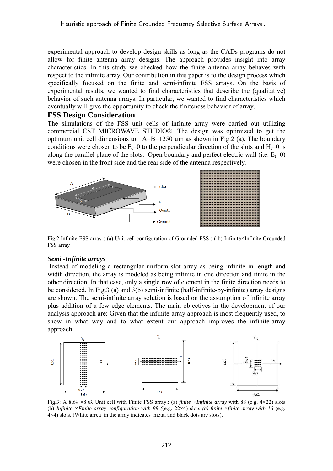experimental approach to develop design skills as long as the CADs programs do not allow for finite antenna array designs. The approach provides insight into array characteristics. In this study we checked how the finite antenna array behaves with respect to the infinite array. Our contribution in this paper is to the design process which specifically focused on the finite and semi-infinite FSS arrays. On the basis of experimental results, we wanted to find characteristics that describe the (qualitative) behavior of such antenna arrays. In particular, we wanted to find characteristics which eventually will give the opportunity to check the finiteness behavior of array.

## **FSS Design Consideration**

The simulations of the FSS unit cells of infinite array were carried out utilizing commercial CST MICROWAVE STUDIO®. The design was optimized to get the optimum unit cell dimensions to  $A=B=1250 \text{ µm}$  as shown in Fig. 2 (a). The boundary conditions were chosen to be  $E_t=0$  to the perpendicular direction of the slots and  $H_t=0$  is along the parallel plane of the slots. Open boundary and perfect electric wall (i.e.  $E_t=0$ ) were chosen in the front side and the rear side of the antenna respectively.



Fig.2:Infinite FSS array : (a) Unit cell configuration of Grounded FSS : ( b) Infinite*×*Infinite Grounded FSS array

#### *Semi -Infinite arrays*

Instead of modeling a rectangular uniform slot array as being infinite in length and width direction, the array is modeled as being infinite in one direction and finite in the other direction. In that case, only a single row of element in the finite direction needs to be considered. In Fig.3 (a) and 3(b) semi-infinite (half-infinite-by-infinite) array designs are shown. The semi-infinite array solution is based on the assumption of infinite array plus addition of a few edge elements. The main objectives in the development of our analysis approach are: Given that the infinite-array approach is most frequently used, to show in what way and to what extent our approach improves the infinite-array approach.



(b) *Infinite ×Finite array configuration with 88 (*(e.g. 22×4) slots *(c) finite ×finite array with 16* (e.g. 4×4) slots. (White arrea in the array indicates metal and black dots are slots).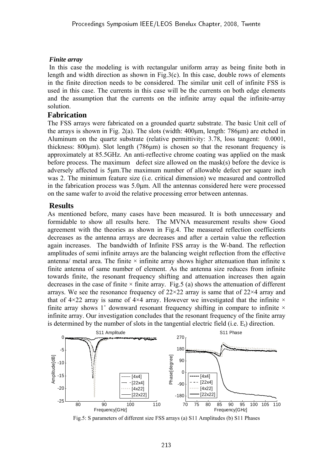#### *Finite array*

In this case the modeling is with rectangular uniform array as being finite both in length and width direction as shown in Fig.3(c). In this case, double rows of elements in the finite direction needs to be considered. The similar unit cell of infinite FSS is used in this case. The currents in this case will be the currents on both edge elements and the assumption that the currents on the infinite array equal the infinite-array solution.

## **Fabrication**

The FSS arrays were fabricated on a grounded quartz substrate. The basic Unit cell of the arrays is shown in Fig. 2(a). The slots (width:  $400 \mu m$ , length:  $786 \mu m$ ) are etched in Aluminum on the quartz substrate (relative permittivity: 3.78, loss tangent: 0.0001, thickness:  $800\mu$ m). Slot length (786 $\mu$ m) is chosen so that the resonant frequency is approximately at 85.5GHz. An anti-reflective chrome coating was applied on the mask before process. The maximum defect size allowed on the mask(s) before the device is adversely affected is 5μm.The maximum number of allowable defect per square inch was 2. The minimum feature size (i.e. critical dimension) we measured and controlled in the fabrication process was 5.0μm. All the antennas considered here were processed on the same wafer to avoid the relative processing error between antennas.

# **Results**

As mentioned before, many cases have been measured. It is both unnecessary and formidable to show all results here. The MVNA measurement results show Good agreement with the theories as shown in Fig.4. The measured reflection coefficients decreases as the antenna arrays are decreases and after a certain value the reflection again increases. The bandwidth of Infinite FSS array is the W-band. The reflection amplitudes of semi infinite arrays are the balancing weight reflection from the effective antenna/ metal area. The finite  $\times$  infinite array shows higher attenuation than infinite x finite antenna of same number of element. As the antenna size reduces from infinite towards finite, the resonant frequency shifting and attenuation increases then again decreases in the case of finite  $\times$  finite array. Fig.5 (a) shows the attenuation of different arrays. We see the resonance frequency of  $22 \times 22$  array is same that of  $22 \times 4$  array and that of  $4\times22$  array is same of  $4\times4$  array. However we investigated that the infinite  $\times$ finite array shows 1 $\degree$  downward resonant frequency shifting in compare to infinite  $\times$ infinite array. Our investigation concludes that the resonant frequency of the finite array is determined by the number of slots in the tangential electric field  $(i.e. E_t)$  direction.



Fig.5: S parameters of different size FSS arrays (a) S11 Amplitudes (b) S11 Phases